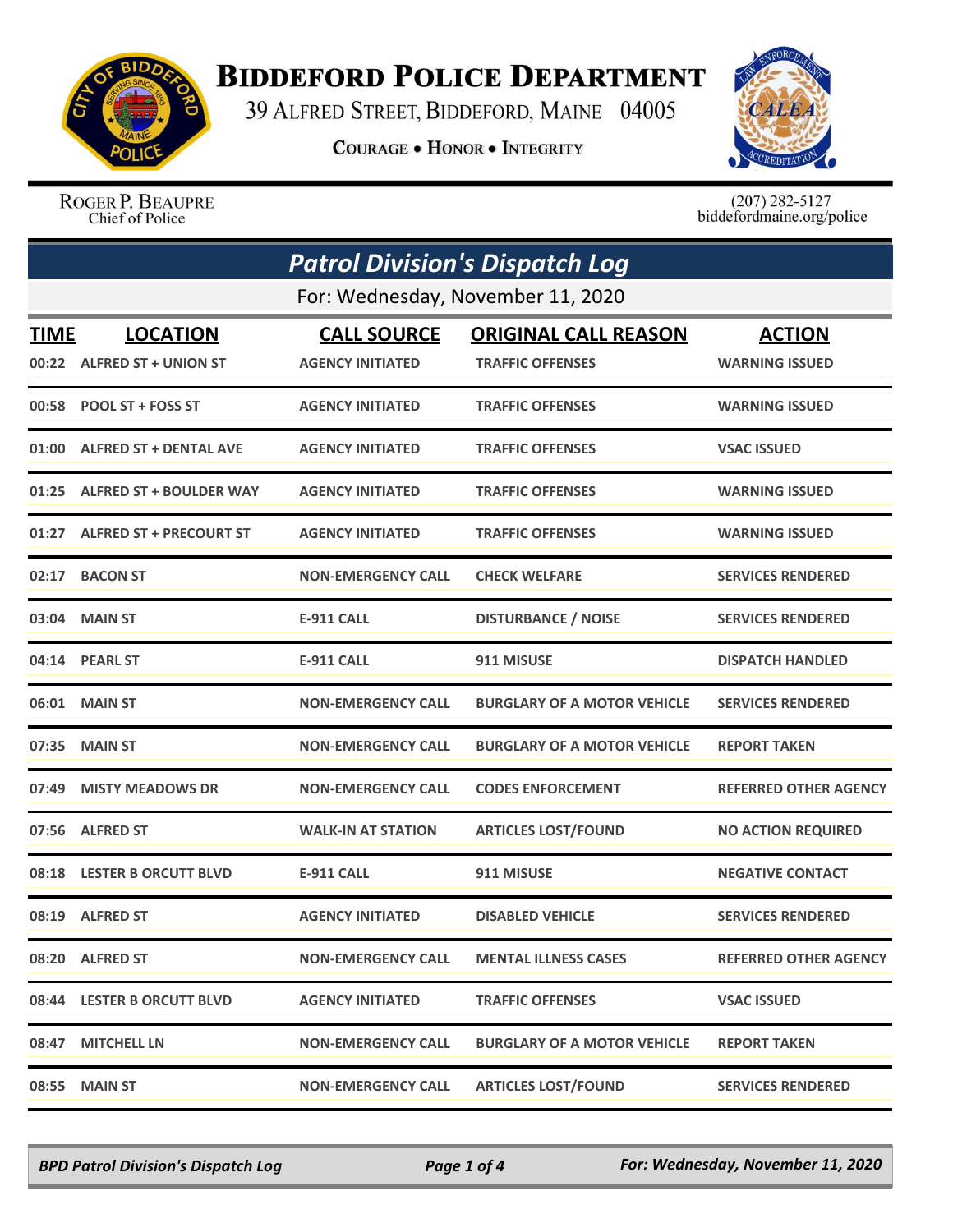

## **BIDDEFORD POLICE DEPARTMENT**

39 ALFRED STREET, BIDDEFORD, MAINE 04005

**COURAGE . HONOR . INTEGRITY** 



ROGER P. BEAUPRE Chief of Police

 $(207)$  282-5127 biddefordmaine.org/police

|             | <b>Patrol Division's Dispatch Log</b> |                           |                                    |                              |  |
|-------------|---------------------------------------|---------------------------|------------------------------------|------------------------------|--|
|             | For: Wednesday, November 11, 2020     |                           |                                    |                              |  |
| <b>TIME</b> | <b>LOCATION</b>                       | <b>CALL SOURCE</b>        | <b>ORIGINAL CALL REASON</b>        | <b>ACTION</b>                |  |
| 00:22       | <b>ALFRED ST + UNION ST</b>           | <b>AGENCY INITIATED</b>   | <b>TRAFFIC OFFENSES</b>            | <b>WARNING ISSUED</b>        |  |
|             | 00:58 POOL ST + FOSS ST               | <b>AGENCY INITIATED</b>   | <b>TRAFFIC OFFENSES</b>            | <b>WARNING ISSUED</b>        |  |
| 01:00       | <b>ALFRED ST + DENTAL AVE</b>         | <b>AGENCY INITIATED</b>   | <b>TRAFFIC OFFENSES</b>            | <b>VSAC ISSUED</b>           |  |
|             | 01:25 ALFRED ST + BOULDER WAY         | <b>AGENCY INITIATED</b>   | <b>TRAFFIC OFFENSES</b>            | <b>WARNING ISSUED</b>        |  |
|             | 01:27 ALFRED ST + PRECOURT ST         | <b>AGENCY INITIATED</b>   | <b>TRAFFIC OFFENSES</b>            | <b>WARNING ISSUED</b>        |  |
| 02:17       | <b>BACON ST</b>                       | <b>NON-EMERGENCY CALL</b> | <b>CHECK WELFARE</b>               | <b>SERVICES RENDERED</b>     |  |
| 03:04       | <b>MAIN ST</b>                        | <b>E-911 CALL</b>         | <b>DISTURBANCE / NOISE</b>         | <b>SERVICES RENDERED</b>     |  |
|             | 04:14 PEARL ST                        | <b>E-911 CALL</b>         | 911 MISUSE                         | <b>DISPATCH HANDLED</b>      |  |
| 06:01       | <b>MAIN ST</b>                        | <b>NON-EMERGENCY CALL</b> | <b>BURGLARY OF A MOTOR VEHICLE</b> | <b>SERVICES RENDERED</b>     |  |
| 07:35       | <b>MAIN ST</b>                        | <b>NON-EMERGENCY CALL</b> | <b>BURGLARY OF A MOTOR VEHICLE</b> | <b>REPORT TAKEN</b>          |  |
| 07:49       | <b>MISTY MEADOWS DR</b>               | <b>NON-EMERGENCY CALL</b> | <b>CODES ENFORCEMENT</b>           | <b>REFERRED OTHER AGENCY</b> |  |
|             | 07:56 ALFRED ST                       | <b>WALK-IN AT STATION</b> | <b>ARTICLES LOST/FOUND</b>         | <b>NO ACTION REQUIRED</b>    |  |
| 08:18       | <b>LESTER B ORCUTT BLVD</b>           | <b>E-911 CALL</b>         | 911 MISUSE                         | <b>NEGATIVE CONTACT</b>      |  |
| 08:19       | <b>ALFRED ST</b>                      | <b>AGENCY INITIATED</b>   | <b>DISABLED VEHICLE</b>            | <b>SERVICES RENDERED</b>     |  |
|             | 08:20 ALFRED ST                       | <b>NON-EMERGENCY CALL</b> | <b>MENTAL ILLNESS CASES</b>        | <b>REFERRED OTHER AGENCY</b> |  |
|             | 08:44 LESTER B ORCUTT BLVD            | <b>AGENCY INITIATED</b>   | <b>TRAFFIC OFFENSES</b>            | <b>VSAC ISSUED</b>           |  |
|             | 08:47 MITCHELL LN                     | <b>NON-EMERGENCY CALL</b> | <b>BURGLARY OF A MOTOR VEHICLE</b> | <b>REPORT TAKEN</b>          |  |
| 08:55       | <b>MAIN ST</b>                        | <b>NON-EMERGENCY CALL</b> | <b>ARTICLES LOST/FOUND</b>         | <b>SERVICES RENDERED</b>     |  |

*BPD Patrol Division's Dispatch Log Page 1 of 4 For: Wednesday, November 11, 2020*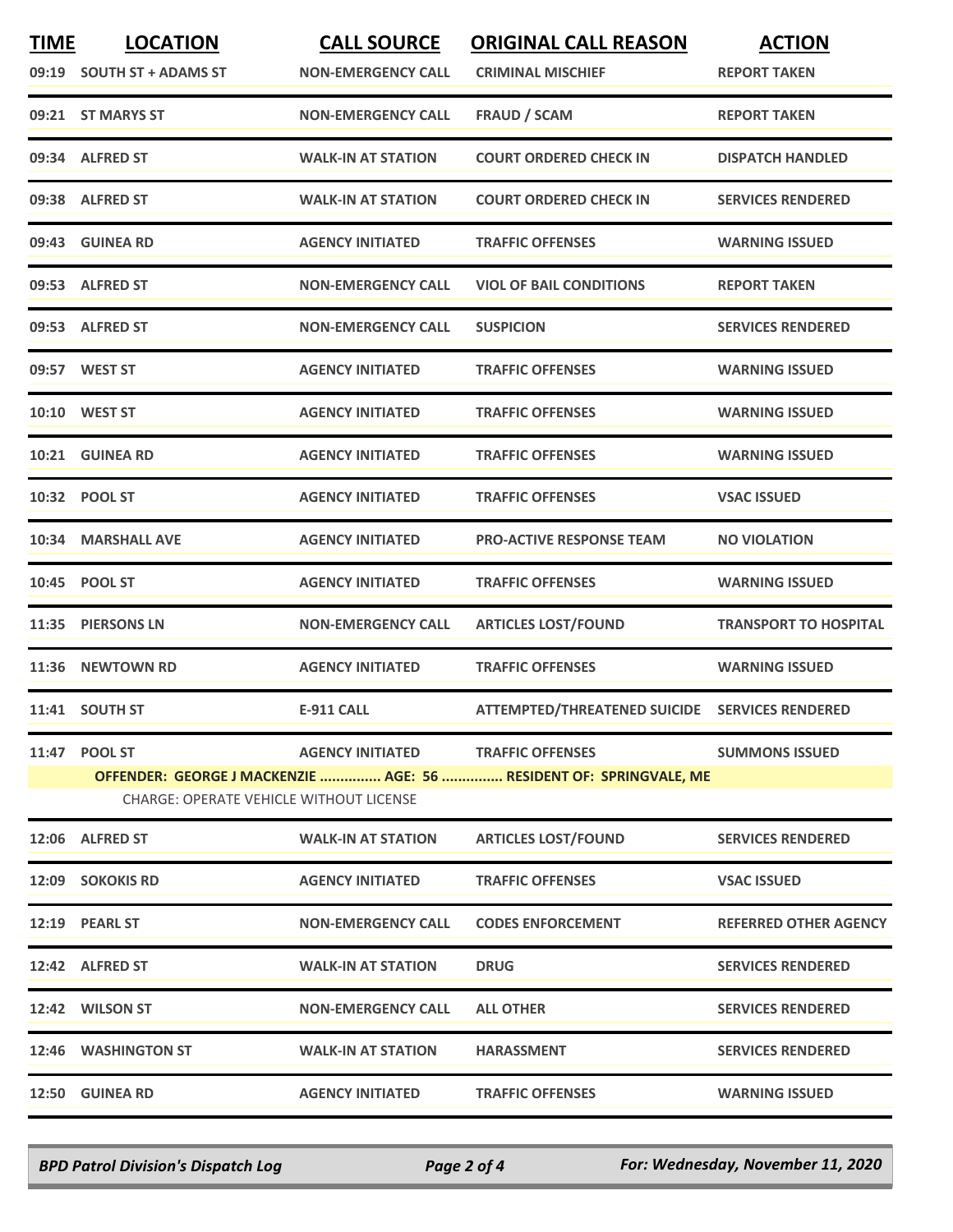| <b>TIME</b>                                                                                                          | <b>LOCATION</b><br>09:19 SOUTH ST + ADAMS ST | <b>CALL SOURCE</b><br><b>NON-EMERGENCY CALL</b> | <b>ORIGINAL CALL REASON</b><br><b>CRIMINAL MISCHIEF</b> | <b>ACTION</b><br><b>REPORT TAKEN</b> |
|----------------------------------------------------------------------------------------------------------------------|----------------------------------------------|-------------------------------------------------|---------------------------------------------------------|--------------------------------------|
|                                                                                                                      | 09:21 ST MARYS ST                            | <b>NON-EMERGENCY CALL</b>                       | <b>FRAUD / SCAM</b>                                     | <b>REPORT TAKEN</b>                  |
|                                                                                                                      | 09:34 ALFRED ST                              | <b>WALK-IN AT STATION</b>                       | <b>COURT ORDERED CHECK IN</b>                           | <b>DISPATCH HANDLED</b>              |
|                                                                                                                      | 09:38 ALFRED ST                              | <b>WALK-IN AT STATION</b>                       | <b>COURT ORDERED CHECK IN</b>                           | <b>SERVICES RENDERED</b>             |
| 09:43                                                                                                                | <b>GUINEA RD</b>                             | <b>AGENCY INITIATED</b>                         | <b>TRAFFIC OFFENSES</b>                                 | <b>WARNING ISSUED</b>                |
|                                                                                                                      | 09:53 ALFRED ST                              | <b>NON-EMERGENCY CALL</b>                       | <b>VIOL OF BAIL CONDITIONS</b>                          | <b>REPORT TAKEN</b>                  |
| 09:53                                                                                                                | <b>ALFRED ST</b>                             | <b>NON-EMERGENCY CALL</b>                       | <b>SUSPICION</b>                                        | <b>SERVICES RENDERED</b>             |
|                                                                                                                      | 09:57 WEST ST                                | <b>AGENCY INITIATED</b>                         | <b>TRAFFIC OFFENSES</b>                                 | <b>WARNING ISSUED</b>                |
|                                                                                                                      | 10:10 WEST ST                                | <b>AGENCY INITIATED</b>                         | <b>TRAFFIC OFFENSES</b>                                 | <b>WARNING ISSUED</b>                |
|                                                                                                                      | 10:21 GUINEA RD                              | <b>AGENCY INITIATED</b>                         | <b>TRAFFIC OFFENSES</b>                                 | <b>WARNING ISSUED</b>                |
|                                                                                                                      | 10:32 POOL ST                                | <b>AGENCY INITIATED</b>                         | <b>TRAFFIC OFFENSES</b>                                 | <b>VSAC ISSUED</b>                   |
|                                                                                                                      | 10:34 MARSHALL AVE                           | <b>AGENCY INITIATED</b>                         | <b>PRO-ACTIVE RESPONSE TEAM</b>                         | <b>NO VIOLATION</b>                  |
| 10:45                                                                                                                | <b>POOL ST</b>                               | <b>AGENCY INITIATED</b>                         | <b>TRAFFIC OFFENSES</b>                                 | <b>WARNING ISSUED</b>                |
| 11:35                                                                                                                | <b>PIERSONS LN</b>                           | <b>NON-EMERGENCY CALL</b>                       | <b>ARTICLES LOST/FOUND</b>                              | <b>TRANSPORT TO HOSPITAL</b>         |
| 11:36                                                                                                                | <b>NEWTOWN RD</b>                            | <b>AGENCY INITIATED</b>                         | <b>TRAFFIC OFFENSES</b>                                 | <b>WARNING ISSUED</b>                |
|                                                                                                                      | 11:41 SOUTH ST                               | <b>E-911 CALL</b>                               | ATTEMPTED/THREATENED SUICIDE SERVICES RENDERED          |                                      |
|                                                                                                                      | 11:47 POOL ST                                | <b>AGENCY INITIATED</b>                         | <b>TRAFFIC OFFENSES</b>                                 | <b>SUMMONS ISSUED</b>                |
| OFFENDER: GEORGE J MACKENZIE  AGE: 56  RESIDENT OF: SPRINGVALE, ME<br><b>CHARGE: OPERATE VEHICLE WITHOUT LICENSE</b> |                                              |                                                 |                                                         |                                      |
|                                                                                                                      | 12:06 ALFRED ST                              | <b>WALK-IN AT STATION</b>                       | <b>ARTICLES LOST/FOUND</b>                              | <b>SERVICES RENDERED</b>             |
|                                                                                                                      | 12:09 SOKOKIS RD                             | <b>AGENCY INITIATED</b>                         | <b>TRAFFIC OFFENSES</b>                                 | <b>VSAC ISSUED</b>                   |
|                                                                                                                      | 12:19 PEARL ST                               | <b>NON-EMERGENCY CALL</b>                       | <b>CODES ENFORCEMENT</b>                                | <b>REFERRED OTHER AGENCY</b>         |
|                                                                                                                      | 12:42 ALFRED ST                              | <b>WALK-IN AT STATION</b>                       | <b>DRUG</b>                                             | <b>SERVICES RENDERED</b>             |
|                                                                                                                      | 12:42 WILSON ST                              | <b>NON-EMERGENCY CALL</b>                       | <b>ALL OTHER</b>                                        | <b>SERVICES RENDERED</b>             |
|                                                                                                                      | 12:46 WASHINGTON ST                          | <b>WALK-IN AT STATION</b>                       | <b>HARASSMENT</b>                                       | <b>SERVICES RENDERED</b>             |
|                                                                                                                      | 12:50 GUINEA RD                              | <b>AGENCY INITIATED</b>                         | <b>TRAFFIC OFFENSES</b>                                 | <b>WARNING ISSUED</b>                |
|                                                                                                                      |                                              |                                                 |                                                         |                                      |

*BPD Patrol Division's Dispatch Log Page 2 of 4 For: Wednesday, November 11, 2020*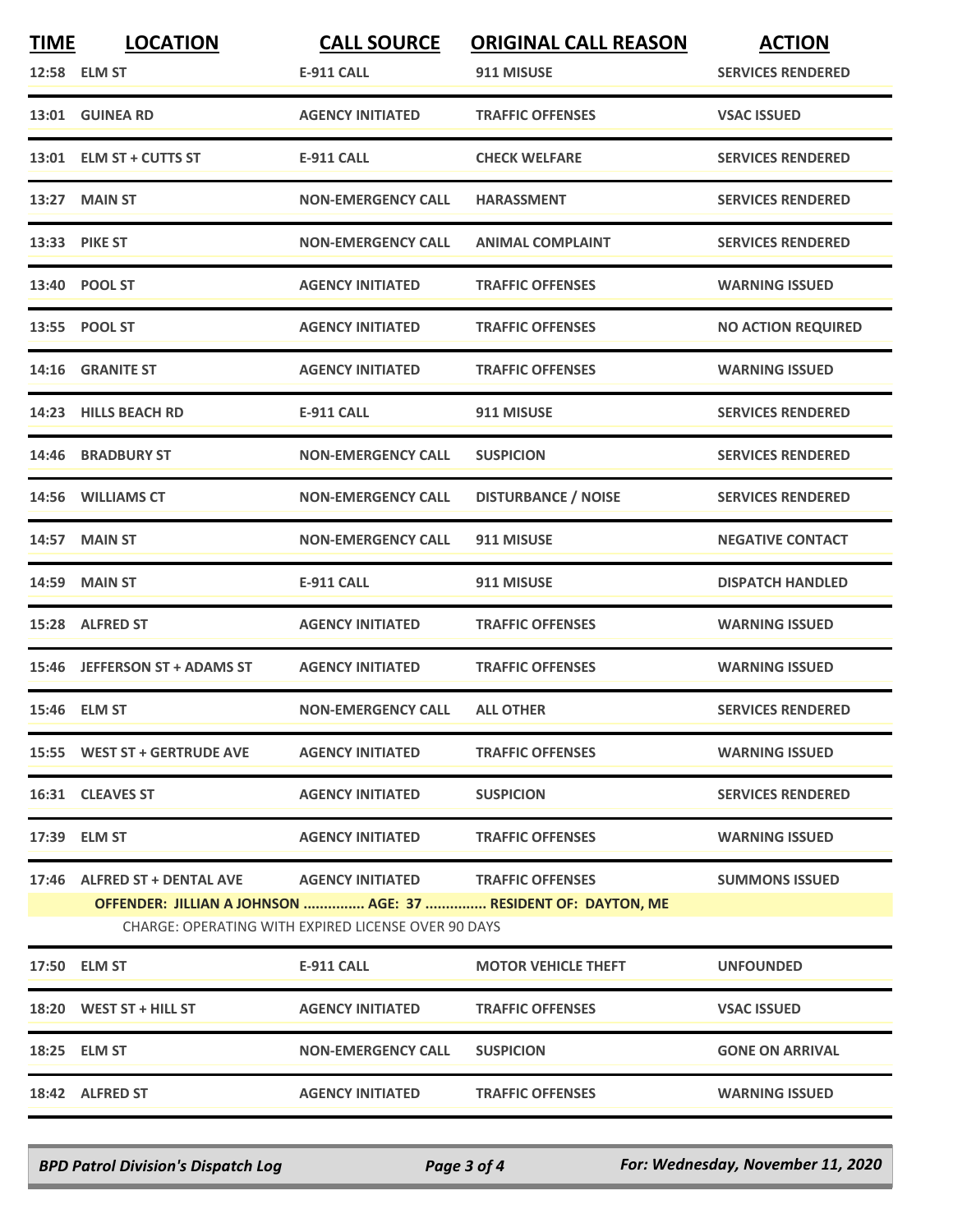| <b>TIME</b> | <b>LOCATION</b>                                                                     | <b>CALL SOURCE</b>                | <b>ORIGINAL CALL REASON</b>                                   | <b>ACTION</b>             |
|-------------|-------------------------------------------------------------------------------------|-----------------------------------|---------------------------------------------------------------|---------------------------|
|             | 12:58 ELM ST                                                                        | <b>E-911 CALL</b>                 | 911 MISUSE                                                    | <b>SERVICES RENDERED</b>  |
|             | 13:01 GUINEA RD                                                                     | <b>AGENCY INITIATED</b>           | <b>TRAFFIC OFFENSES</b>                                       | <b>VSAC ISSUED</b>        |
|             | 13:01 ELM ST + CUTTS ST                                                             | <b>E-911 CALL</b>                 | <b>CHECK WELFARE</b>                                          | <b>SERVICES RENDERED</b>  |
|             | 13:27 MAIN ST                                                                       | <b>NON-EMERGENCY CALL</b>         | <b>HARASSMENT</b>                                             | <b>SERVICES RENDERED</b>  |
|             | 13:33 PIKE ST                                                                       | <b>NON-EMERGENCY CALL</b>         | <b>ANIMAL COMPLAINT</b>                                       | <b>SERVICES RENDERED</b>  |
|             | 13:40 POOL ST                                                                       | <b>AGENCY INITIATED</b>           | <b>TRAFFIC OFFENSES</b>                                       | <b>WARNING ISSUED</b>     |
|             | 13:55 POOL ST                                                                       | <b>AGENCY INITIATED</b>           | <b>TRAFFIC OFFENSES</b>                                       | <b>NO ACTION REQUIRED</b> |
|             | 14:16 GRANITE ST                                                                    | <b>AGENCY INITIATED</b>           | <b>TRAFFIC OFFENSES</b>                                       | <b>WARNING ISSUED</b>     |
|             | 14:23 HILLS BEACH RD                                                                | <b>E-911 CALL</b>                 | 911 MISUSE                                                    | <b>SERVICES RENDERED</b>  |
|             | 14:46 BRADBURY ST                                                                   | <b>NON-EMERGENCY CALL</b>         | <b>SUSPICION</b>                                              | <b>SERVICES RENDERED</b>  |
| 14:56       | <b>WILLIAMS CT</b>                                                                  | <b>NON-EMERGENCY CALL</b>         | <b>DISTURBANCE / NOISE</b>                                    | <b>SERVICES RENDERED</b>  |
|             | 14:57 MAIN ST                                                                       | <b>NON-EMERGENCY CALL</b>         | 911 MISUSE                                                    | <b>NEGATIVE CONTACT</b>   |
|             | <b>14:59 MAIN ST</b>                                                                | <b>E-911 CALL</b>                 | 911 MISUSE                                                    | <b>DISPATCH HANDLED</b>   |
|             | 15:28 ALFRED ST                                                                     | <b>AGENCY INITIATED</b>           | <b>TRAFFIC OFFENSES</b>                                       | <b>WARNING ISSUED</b>     |
|             | 15:46 JEFFERSON ST + ADAMS ST                                                       | <b>AGENCY INITIATED</b>           | <b>TRAFFIC OFFENSES</b>                                       | <b>WARNING ISSUED</b>     |
|             | 15:46 ELM ST                                                                        | <b>NON-EMERGENCY CALL</b>         | <b>ALL OTHER</b>                                              | <b>SERVICES RENDERED</b>  |
|             | 15:55 WEST ST + GERTRUDE AVE                                                        | <b>AGENCY INITIATED</b>           | <b>TRAFFIC OFFENSES</b>                                       | <b>WARNING ISSUED</b>     |
|             | 16:31 CLEAVES ST                                                                    | <b>AGENCY INITIATED</b>           | <b>SUSPICION</b>                                              | <b>SERVICES RENDERED</b>  |
|             | 17:39 ELM ST                                                                        | <b>AGENCY INITIATED</b>           | <b>TRAFFIC OFFENSES</b>                                       | <b>WARNING ISSUED</b>     |
|             | 17:46 ALFRED ST + DENTAL AVE<br>CHARGE: OPERATING WITH EXPIRED LICENSE OVER 90 DAYS | AGENCY INITIATED TRAFFIC OFFENSES | OFFENDER: JILLIAN A JOHNSON  AGE: 37  RESIDENT OF: DAYTON, ME | <b>SUMMONS ISSUED</b>     |
|             | 17:50 ELM ST                                                                        | E-911 CALL                        | <b>MOTOR VEHICLE THEFT</b>                                    | <b>UNFOUNDED</b>          |
|             | $18:20$ WEST ST + HILL ST                                                           | <b>AGENCY INITIATED</b>           | <b>TRAFFIC OFFENSES</b>                                       | <b>VSAC ISSUED</b>        |
|             | 18:25 ELM ST                                                                        | <b>NON-EMERGENCY CALL</b>         | <b>SUSPICION</b>                                              | <b>GONE ON ARRIVAL</b>    |
|             | 18:42 ALFRED ST                                                                     | <b>AGENCY INITIATED</b>           | <b>TRAFFIC OFFENSES</b>                                       | <b>WARNING ISSUED</b>     |

*BPD Patrol Division's Dispatch Log Page 3 of 4 For: Wednesday, November 11, 2020*